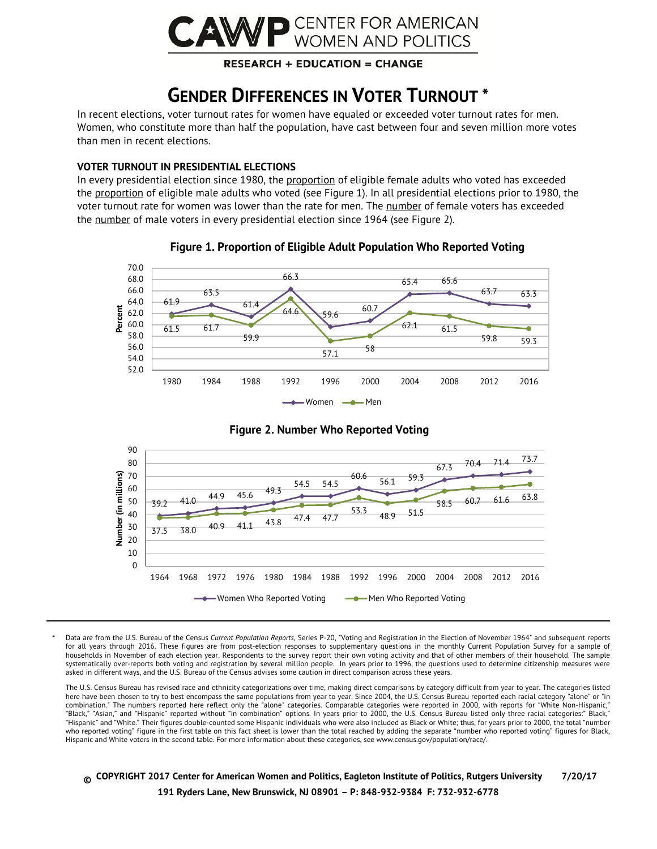

### **RESEARCH + EDUCATION = CHANGE**

## **GENDER DIFFERENCES IN VOTER TURNOUT \***

In recent elections, voter turnout rates for women have equaled or exceeded voter turnout rates for men. Women, who constitute more than half the population, have cast between four and seven million more votes than men in recent elections.

#### **VOTER TURNOUT IN PRESIDENTIAL ELECTIONS**

In every presidential election since 1980, the proportion of eligible female adults who voted has exceeded the proportion of eligible male adults who voted (see Figure 1). In all presidential elections prior to 1980, the voter turnout rate for women was lower than the rate for men. The number of female voters has exceeded the number of male voters in every presidential election since 1964 (see Figure 2).



### **Figure 1. Proportion of Eligible Adult Population Who Reported Voting**



**Figure 2. Number Who Reported Voting**

Data are from the U.S. Bureau of the Census *Current Population Reports*, Series P-20, "Voting and Registration in the Election of November 1964" and subsequent reports for all years through 2016. These figures are from post-election responses to supplementary questions in the monthly Current Population Survey for a sample of households in November of each election year. Respondents to the survey report their own voting activity and that of other members of their household. The sample systematically over-reports both voting and registration by several million people. In years prior to 1996, the questions used to determine citizenship measures were asked in different ways, and the U.S. Bureau of the Census advises some caution in direct comparison across these years.

The U.S. Census Bureau has revised race and ethnicity categorizations over time, making direct comparisons by category difficult from year to year. The categories listed here have been chosen to try to best encompass the same populations from year to year. Since 2004, the U.S. Census Bureau reported each racial category "alone" or "in combination." The numbers reported here reflect only the "alone" categories. Comparable categories were reported in 2000, with reports for "White Non-Hispanic," "Black," "Asian," and "Hispanic" reported without "in combination" options. In years prior to 2000, the U.S. Census Bureau listed only three racial categories:" Black," "Hispanic" and "White." Their figures double-counted some Hispanic individuals who were also included as Black or White; thus, for years prior to 2000, the total "number who reported voting" figure in the first table on this fact sheet is lower than the total reached by adding the separate "number who reported voting" figures for Black, Hispanic and White voters in the second table. For more information about these categories, see www.census.gov/population/race/.

**© COPYRIGHT 2017 Center for American Women and Politics, Eagleton Institute of Politics, Rutgers University 7/20/17 191 Ryders Lane, New Brunswick, NJ 08901 – P: 848-932-9384 F: 732-932-6778**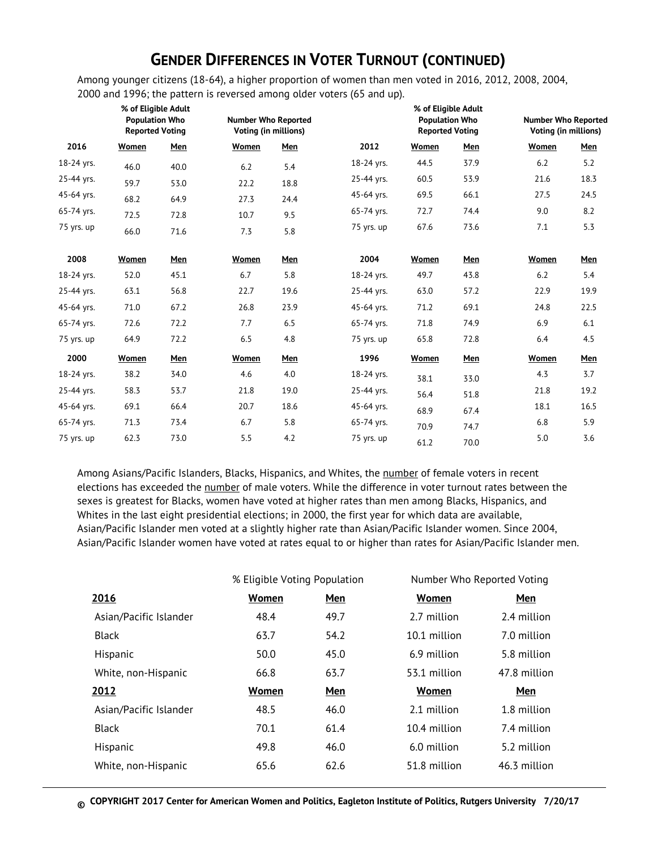## **GENDER DIFFERENCES IN VOTER TURNOUT (CONTINUED)**

Among younger citizens (18-64), a higher proportion of women than men voted in 2016, 2012, 2008, 2004, 2000 and 1996; the pattern is reversed among older voters (65 and up).

|            | % of Eligible Adult<br><b>Population Who</b><br><b>Reported Voting</b> |      | <b>Number Who Reported</b><br>Voting (in millions) |      |            | % of Eligible Adult<br><b>Population Who</b><br><b>Reported Voting</b> |      | <b>Number Who Reported</b><br>Voting (in millions) |      |
|------------|------------------------------------------------------------------------|------|----------------------------------------------------|------|------------|------------------------------------------------------------------------|------|----------------------------------------------------|------|
| 2016       | Women                                                                  | Men  | Women                                              | Men  | 2012       | Women                                                                  | Men  | Women                                              | Men  |
| 18-24 yrs. | 46.0                                                                   | 40.0 | 6.2                                                | 5.4  | 18-24 yrs. | 44.5                                                                   | 37.9 | 6.2                                                | 5.2  |
| 25-44 yrs. | 59.7                                                                   | 53.0 | 22.2                                               | 18.8 | 25-44 yrs. | 60.5                                                                   | 53.9 | 21.6                                               | 18.3 |
| 45-64 yrs. | 68.2                                                                   | 64.9 | 27.3                                               | 24.4 | 45-64 yrs. | 69.5                                                                   | 66.1 | 27.5                                               | 24.5 |
| 65-74 yrs. | 72.5                                                                   | 72.8 | 10.7                                               | 9.5  | 65-74 yrs. | 72.7                                                                   | 74.4 | 9.0                                                | 8.2  |
| 75 yrs. up | 66.0                                                                   | 71.6 | 7.3                                                | 5.8  | 75 yrs. up | 67.6                                                                   | 73.6 | 7.1                                                | 5.3  |
| 2008       | Women                                                                  | Men  | Women                                              | Men  | 2004       | Women                                                                  | Men  | Women                                              | Men  |
| 18-24 yrs. | 52.0                                                                   | 45.1 | 6.7                                                | 5.8  | 18-24 yrs. | 49.7                                                                   | 43.8 | 6.2                                                | 5.4  |
| 25-44 yrs. | 63.1                                                                   | 56.8 | 22.7                                               | 19.6 | 25-44 yrs. | 63.0                                                                   | 57.2 | 22.9                                               | 19.9 |
| 45-64 yrs. | 71.0                                                                   | 67.2 | 26.8                                               | 23.9 | 45-64 yrs. | 71.2                                                                   | 69.1 | 24.8                                               | 22.5 |
| 65-74 yrs. | 72.6                                                                   | 72.2 | 7.7                                                | 6.5  | 65-74 yrs. | 71.8                                                                   | 74.9 | 6.9                                                | 6.1  |
| 75 yrs. up | 64.9                                                                   | 72.2 | 6.5                                                | 4.8  | 75 yrs. up | 65.8                                                                   | 72.8 | 6.4                                                | 4.5  |
| 2000       | Women                                                                  | Men  | Women                                              | Men  | 1996       | Women                                                                  | Men  | Women                                              | Men  |
| 18-24 yrs. | 38.2                                                                   | 34.0 | 4.6                                                | 4.0  | 18-24 yrs. | 38.1                                                                   | 33.0 | 4.3                                                | 3.7  |
| 25-44 yrs. | 58.3                                                                   | 53.7 | 21.8                                               | 19.0 | 25-44 yrs. | 56.4                                                                   | 51.8 | 21.8                                               | 19.2 |
| 45-64 yrs. | 69.1                                                                   | 66.4 | 20.7                                               | 18.6 | 45-64 yrs. | 68.9                                                                   | 67.4 | 18.1                                               | 16.5 |
| 65-74 yrs. | 71.3                                                                   | 73.4 | 6.7                                                | 5.8  | 65-74 yrs. | 70.9                                                                   | 74.7 | $6.8\,$                                            | 5.9  |
| 75 yrs. up | 62.3                                                                   | 73.0 | 5.5                                                | 4.2  | 75 yrs. up | 61.2                                                                   | 70.0 | 5.0                                                | 3.6  |

Among Asians/Pacific Islanders, Blacks, Hispanics, and Whites, the number of female voters in recent elections has exceeded the number of male voters. While the difference in voter turnout rates between the sexes is greatest for Blacks, women have voted at higher rates than men among Blacks, Hispanics, and Whites in the last eight presidential elections; in 2000, the first year for which data are available, Asian/Pacific Islander men voted at a slightly higher rate than Asian/Pacific Islander women. Since 2004, Asian/Pacific Islander women have voted at rates equal to or higher than rates for Asian/Pacific Islander men.

|                        | % Eligible Voting Population |      | Number Who Reported Voting |              |
|------------------------|------------------------------|------|----------------------------|--------------|
| 2016                   | Women                        | Men  | Women                      | Men          |
| Asian/Pacific Islander | 48.4                         | 49.7 | 2.7 million                | 2.4 million  |
| <b>Black</b>           | 63.7                         | 54.2 | 10.1 million               | 7.0 million  |
| Hispanic               | 50.0                         | 45.0 | 6.9 million                | 5.8 million  |
| White, non-Hispanic    | 66.8                         | 63.7 | 53.1 million               | 47.8 million |
| <u> 2012 </u>          | Women                        | Men  | Women                      | Men          |
| Asian/Pacific Islander | 48.5                         | 46.0 | 2.1 million                | 1.8 million  |
| <b>Black</b>           | 70.1                         | 61.4 | 10.4 million               | 7.4 million  |
| Hispanic               | 49.8                         | 46.0 | 6.0 million                | 5.2 million  |
| White, non-Hispanic    | 65.6                         | 62.6 | 51.8 million               | 46.3 million |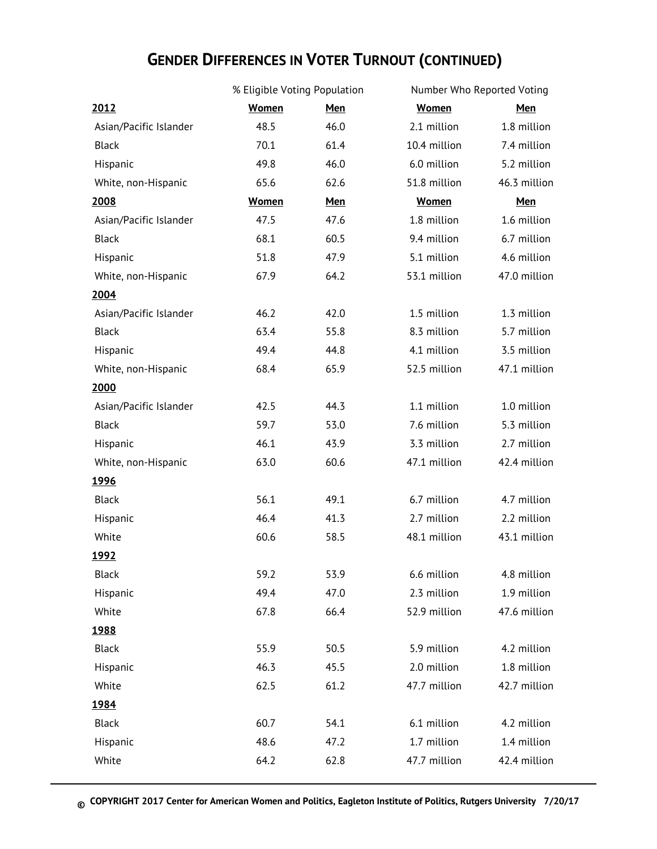# **GENDER DIFFERENCES IN VOTER TURNOUT (CONTINUED)**

|                        | % Eligible Voting Population |            | Number Who Reported Voting |              |  |
|------------------------|------------------------------|------------|----------------------------|--------------|--|
| 2012                   | <b>Women</b>                 | <b>Men</b> | <b>Women</b>               | <b>Men</b>   |  |
| Asian/Pacific Islander | 48.5                         | 46.0       | 2.1 million                | 1.8 million  |  |
| Black                  | 70.1                         | 61.4       | 10.4 million               | 7.4 million  |  |
| Hispanic               | 49.8                         | 46.0       | 6.0 million                | 5.2 million  |  |
| White, non-Hispanic    | 65.6                         | 62.6       | 51.8 million               | 46.3 million |  |
| 2008                   | <b>Women</b>                 | <b>Men</b> | <b>Women</b>               | <b>Men</b>   |  |
| Asian/Pacific Islander | 47.5                         | 47.6       | 1.8 million                | 1.6 million  |  |
| <b>Black</b>           | 68.1                         | 60.5       | 9.4 million                | 6.7 million  |  |
| Hispanic               | 51.8                         | 47.9       | 5.1 million                | 4.6 million  |  |
| White, non-Hispanic    | 67.9                         | 64.2       | 53.1 million               | 47.0 million |  |
| 2004                   |                              |            |                            |              |  |
| Asian/Pacific Islander | 46.2                         | 42.0       | 1.5 million                | 1.3 million  |  |
| <b>Black</b>           | 63.4                         | 55.8       | 8.3 million                | 5.7 million  |  |
| Hispanic               | 49.4                         | 44.8       | 4.1 million                | 3.5 million  |  |
| White, non-Hispanic    | 68.4                         | 65.9       | 52.5 million               | 47.1 million |  |
| 2000                   |                              |            |                            |              |  |
| Asian/Pacific Islander | 42.5                         | 44.3       | 1.1 million                | 1.0 million  |  |
| <b>Black</b>           | 59.7                         | 53.0       | 7.6 million                | 5.3 million  |  |
| Hispanic               | 46.1                         | 43.9       | 3.3 million                | 2.7 million  |  |
| White, non-Hispanic    | 63.0                         | 60.6       | 47.1 million               | 42.4 million |  |
| <u> 1996 </u>          |                              |            |                            |              |  |
| <b>Black</b>           | 56.1                         | 49.1       | 6.7 million                | 4.7 million  |  |
| Hispanic               | 46.4                         | 41.3       | 2.7 million                | 2.2 million  |  |
| White                  | 60.6                         | 58.5       | 48.1 million               | 43.1 million |  |
| <u>1992</u>            |                              |            |                            |              |  |
| <b>Black</b>           | 59.2                         | 53.9       | 6.6 million                | 4.8 million  |  |
| Hispanic               | 49.4                         | 47.0       | 2.3 million                | 1.9 million  |  |
| White                  | 67.8                         | 66.4       | 52.9 million               | 47.6 million |  |
| <u> 1988</u>           |                              |            |                            |              |  |
| <b>Black</b>           | 55.9                         | 50.5       | 5.9 million                | 4.2 million  |  |
| Hispanic               | 46.3                         | 45.5       | 2.0 million                | 1.8 million  |  |
| White                  | 62.5                         | 61.2       | 47.7 million               | 42.7 million |  |
| <u>1984</u>            |                              |            |                            |              |  |
| Black                  | 60.7                         | 54.1       | 6.1 million                | 4.2 million  |  |
| Hispanic               | 48.6                         | 47.2       | 1.7 million                | 1.4 million  |  |
| White                  | 64.2                         | 62.8       | 47.7 million               | 42.4 million |  |
|                        |                              |            |                            |              |  |